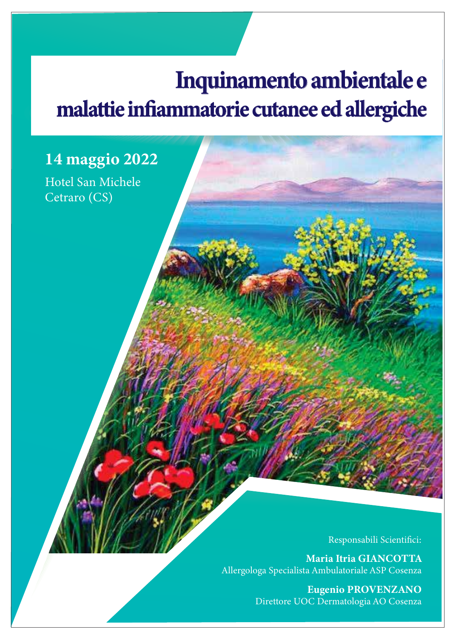# Inquinamento ambientale e malattie infiammatorie cutanee ed allergiche

## 14 maggio 2022

Hotel San Michele Cetraro (CS)

Responsabili Scientifici:

Maria Itria GIANCOTTA Allergologa Specialista Ambulatoriale ASP Cosenza

> **Eugenio PROVENZANO** Direttore UOC Dermatologia AO Cosenza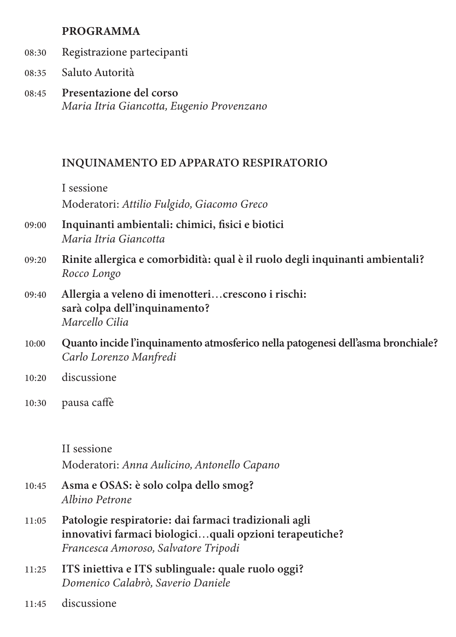#### **PROGRAMMA**

- Registrazione partecipanti  $08.30$
- Saluto Autorità  $08.35$
- Presentazione del corso  $08:45$ Maria Itria Giancotta, Eugenio Provenzano

#### **INQUINAMENTO ED APPARATO RESPIRATORIO**

I sessione Moderatori: Attilio Fulgido, Giacomo Greco

- Inquinanti ambientali: chimici, fisici e biotici  $09:00$ Maria Itria Giancotta
- Rinite allergica e comorbidità: qual è il ruolo degli inquinanti ambientali?  $09:20$ Rocco Longo
- Allergia a veleno di imenotteri...crescono i rischi:  $09:40$ sarà colpa dell'inquinamento? Marcello Cilia
- Quanto incide l'inquinamento atmosferico nella patogenesi dell'asma bronchiale?  $10:00$ Carlo Lorenzo Manfredi
- discussione  $10:20$
- $10:30$ pausa caffè

II sessione Moderatori: Anna Aulicino, Antonello Capano

- Asma e OSAS: è solo colpa dello smog?  $10:45$ Alhino Petrone
- Patologie respiratorie: dai farmaci tradizionali agli  $11.05$ innovativi farmaci biologici...quali opzioni terapeutiche? Francesca Amoroso, Salvatore Tripodi
- ITS iniettiva e ITS sublinguale: quale ruolo oggi?  $11:25$ Domenico Calabrò, Saverio Daniele
- discussione  $11:45$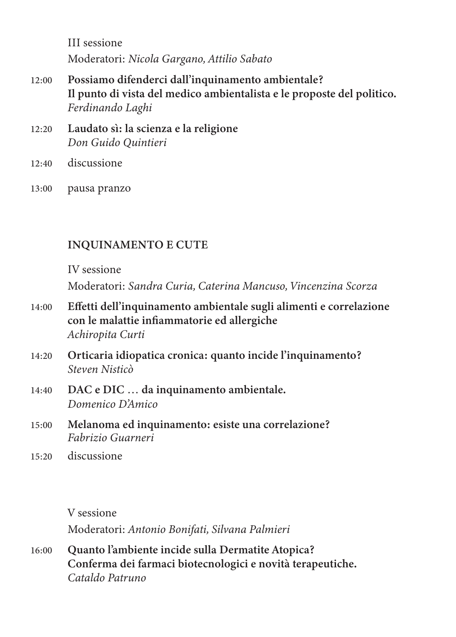**III** sessione Moderatori: Nicola Gargano, Attilio Sabato

- Possiamo difenderci dall'inquinamento ambientale?  $12:00$ Il punto di vista del medico ambientalista e le proposte del politico. Ferdinando Laghi
- Laudato sì: la scienza e la religione  $12:20$ Don Guido Quintieri
- discussione  $12.40$
- $13.00$ pausa pranzo

### **INQUINAMENTO E CUTE**

IV sessione

Moderatori: Sandra Curia, Caterina Mancuso, Vincenzina Scorza

- Effetti dell'inquinamento ambientale sugli alimenti e correlazione 14:00 con le malattie infiammatorie ed allergiche Achiropita Curti
- Orticaria idiopatica cronica: quanto incide l'inquinamento?  $14.20$ Steven Nisticò
- DAC e DIC ... da inquinamento ambientale.  $14:40$ Domenico D'Amico
- Melanoma ed inquinamento: esiste una correlazione?  $15:00$ Fabrizio Guarneri

discussione  $15.20$ 

V sessione

Moderatori: Antonio Bonifati, Silvana Palmieri

Quanto l'ambiente incide sulla Dermatite Atopica?  $16:00$ Conferma dei farmaci biotecnologici e novità terapeutiche. Cataldo Patruno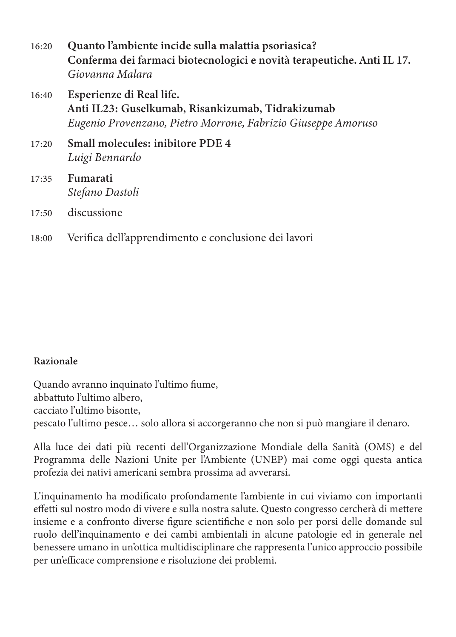- Quanto l'ambiente incide sulla malattia psoriasica?  $16:20$ Conferma dei farmaci biotecnologici e novità terapeutiche. Anti IL 17. Giovanna Malara
- 16:40 Esperienze di Real life. Anti IL23: Guselkumab, Risankizumab, Tidrakizumab Eugenio Provenzano, Pietro Morrone, Fabrizio Giuseppe Amoruso
- Small molecules: inibitore PDE 4  $17.20$ Luigi Bennardo
- Fumarati  $17:35$ Stefano Dastoli
- $17:50$ discussione
- Verifica dell'apprendimento e conclusione dei lavori  $18:00$

#### Razionale

Quando avranno inquinato l'ultimo fiume, abbattuto l'ultimo albero. cacciato l'ultimo bisonte. pescato l'ultimo pesce... solo allora si accorgeranno che non si può mangiare il denaro.

Alla luce dei dati più recenti dell'Organizzazione Mondiale della Sanità (OMS) e del Programma delle Nazioni Unite per l'Ambiente (UNEP) mai come oggi questa antica profezia dei nativi americani sembra prossima ad avverarsi.

L'inquinamento ha modificato profondamente l'ambiente in cui viviamo con importanti effetti sul nostro modo di vivere e sulla nostra salute. Questo congresso cercherà di mettere insieme e a confronto diverse figure scientifiche e non solo per porsi delle domande sul ruolo dell'inquinamento e dei cambi ambientali in alcune patologie ed in generale nel benessere umano in un'ottica multidisciplinare che rappresenta l'unico approccio possibile per un'efficace comprensione e risoluzione dei problemi.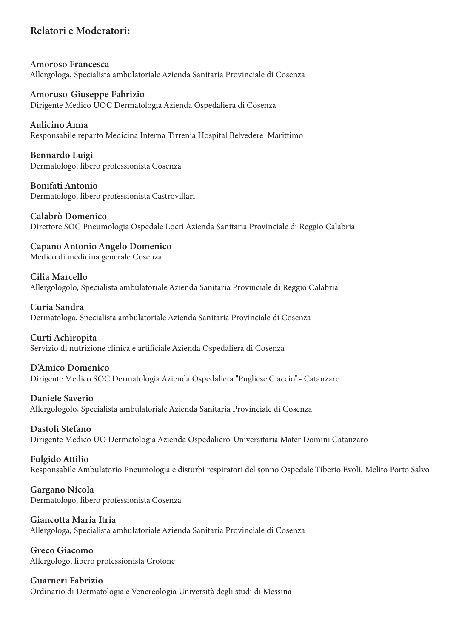#### Relatori e Moderatori:

Amoroso Francesca Allergologa, Specialista ambulatoriale Azienda Sanitaria Provinciale di Cosenza

Amoruso Giuseppe Fabrizio Dirigente Medico UOC Dermatologia Azienda Ospedaliera di Cosenza

**Aulicino Anna** Responsabile reparto Medicina Interna Tirrenia Hospital Belvedere Marittimo

**Bennardo Luigi** Dermatologo, libero professionista Cosenza

**Bonifati Antonio** Dermatologo, libero professionista Castrovillari

Calabrò Domenico Direttore SOC Pneumologia Ospedale Locri Azienda Sanitaria Provinciale di Reggio Calabria

Capano Antonio Angelo Domenico Medico di medicina generale Cosenza

Cilia Marcello Allergologolo, Specialista ambulatoriale Azienda Sanitaria Provinciale di Reggio Calabria

Curia Sandra Dermatologa, Specialista ambulatoriale Azienda Sanitaria Provinciale di Cosenza

Curti Achiropita Servizio di nutrizione clinica e artificiale Azienda Ospedaliera di Cosenza

**D'Amico Domenico** Dirigente Medico SOC Dermatologia Azienda Ospedaliera "Pugliese Ciaccio" - Catanzaro

Daniele Saverio Allergologolo, Specialista ambulatoriale Azienda Sanitaria Provinciale di Cosenza

Dastoli Stefano Dirigente Medico UO Dermatologia Azienda Ospedaliero-Universitaria Mater Domini Catanzaro

**Fulgido Attilio** Responsabile Ambulatorio Pneumologia e disturbi respiratori del sonno Ospedale Tiberio Evoli, Melito Porto Salvo

Gargano Nicola Dermatologo, libero professionista Cosenza

Giancotta Maria Itria Allergologa, Specialista ambulatoriale Azienda Sanitaria Provinciale di Cosenza

Greco Giacomo Allergologo, libero professionista Crotone

Guarneri Fabrizio Ordinario di Dermatologia e Venereologia Università degli studi di Messina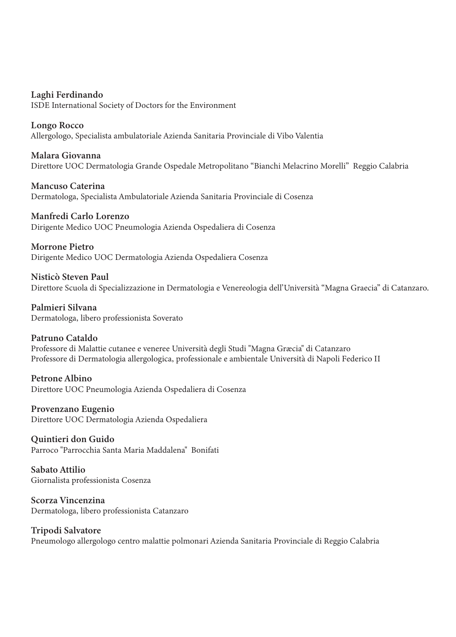Laghi Ferdinando ISDE International Society of Doctors for the Environment

Longo Rocco Allergologo, Specialista ambulatoriale Azienda Sanitaria Provinciale di Vibo Valentia

Malara Giovanna Direttore UOC Dermatologia Grande Ospedale Metropolitano "Bianchi Melacrino Morelli" Reggio Calabria

**Mancuso Caterina** Dermatologa, Specialista Ambulatoriale Azienda Sanitaria Provinciale di Cosenza

Manfredi Carlo Lorenzo Dirigente Medico UOC Pneumologia Azienda Ospedaliera di Cosenza

Morrone Pietro Dirigente Medico UOC Dermatologia Azienda Ospedaliera Cosenza

Nisticò Steven Paul Direttore Scuola di Specializzazione in Dermatologia e Venereologia dell'Università "Magna Graecia" di Catanzaro.

Palmieri Silvana Dermatologa, libero professionista Soverato

Patruno Cataldo Professore di Malattie cutanee e veneree Università degli Studi "Magna Græcia" di Catanzaro Professore di Dermatologia allergologica, professionale e ambientale Università di Napoli Federico II

Petrone Albino Direttore UOC Pneumologia Azienda Ospedaliera di Cosenza

Provenzano Eugenio Direttore UOC Dermatologia Azienda Ospedaliera

Quintieri don Guido Parroco "Parrocchia Santa Maria Maddalena" Bonifati

Sabato Attilio Giornalista professionista Cosenza

Scorza Vincenzina Dermatologa, libero professionista Catanzaro

Tripodi Salvatore Pneumologo allergologo centro malattie polmonari Azienda Sanitaria Provinciale di Reggio Calabria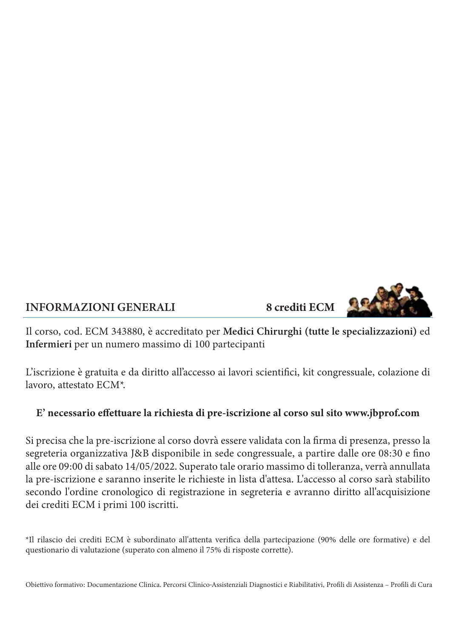

#### **INFORMAZIONI GENERALI**

8 crediti ECM

Il corso, cod. ECM 343880, è accreditato per Medici Chirurghi (tutte le specializzazioni) ed Infermieri per un numero massimo di 100 partecipanti

L'iscrizione è gratuita e da diritto all'accesso ai lavori scientifici, kit congressuale, colazione di lavoro, attestato ECM\*.

#### E' necessario effettuare la richiesta di pre-iscrizione al corso sul sito www.jbprof.com

Si precisa che la pre-iscrizione al corso dovrà essere validata con la firma di presenza, presso la segreteria organizzativa J&B disponibile in sede congressuale, a partire dalle ore 08:30 e fino alle ore 09:00 di sabato 14/05/2022. Superato tale orario massimo di tolleranza, verrà annullata la pre-iscrizione e saranno inserite le richieste in lista d'attesa. L'accesso al corso sarà stabilito secondo l'ordine cronologico di registrazione in segreteria e avranno diritto all'acquisizione dei crediti ECM i primi 100 iscritti.

\*Il rilascio dei crediti ECM è subordinato all'attenta verifica della partecipazione (90% delle ore formative) e del questionario di valutazione (superato con almeno il 75% di risposte corrette).